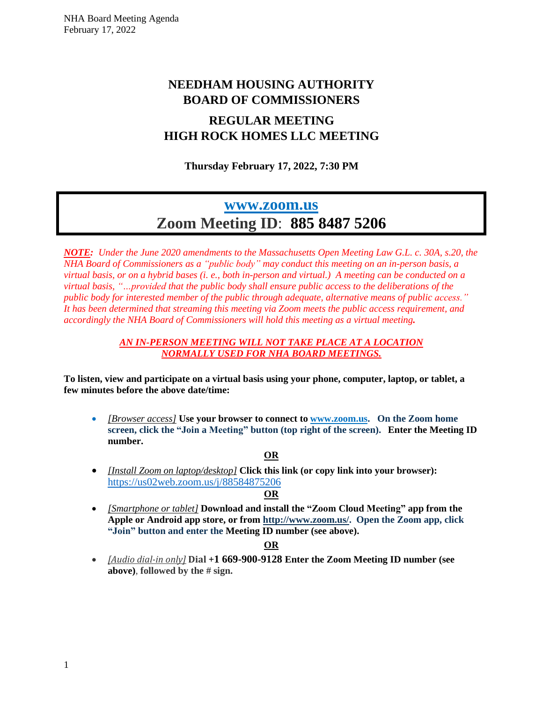## **NEEDHAM HOUSING AUTHORITY BOARD OF COMMISSIONERS**

## **REGULAR MEETING HIGH ROCK HOMES LLC MEETING**

**Thursday February 17, 2022, 7:30 PM**

# **[www.zoom.us](http://www.zoom.us/) Zoom Meeting ID**: **885 8487 5206**

*NOTE: Under the June 2020 amendments to the Massachusetts Open Meeting Law G.L. c. 30A, s.20, the NHA Board of Commissioners as a "public body" may conduct this meeting on an in-person basis, a* virtual basis, or on a hybrid bases (i, e., both in-person and virtual.) A meeting can be conducted on a *virtual basis, "…provided that the public body shall ensure public access to the deliberations of the public body for interested member of the public through adequate, alternative means of public access." It has been determined that streaming this meeting via Zoom meets the public access requirement, and accordingly the NHA Board of Commissioners will hold this meeting as a virtual meeting.*

#### *AN IN-PERSON MEETING WILL NOT TAKE PLACE AT A LOCATION NORMALLY USED FOR NHA BOARD MEETINGS.*

**To listen, view and participate on a virtual basis using your phone, computer, laptop, or tablet, a few minutes before the above date/time:**

• *[Browser access]* **Use your browser to connect to [www.zoom.us.](http://www.zoom.us/) On the Zoom home screen, click the "Join a Meeting" button (top right of the screen). Enter the Meeting ID number.**

#### **OR**

• *[Install Zoom on laptop/desktop]* **Click this link (or copy link into your browser):**  [https://us02web.zoom.us/j/8](https://us02web.zoom.us/j/5)8584875206

#### **OR**

• *[Smartphone or tablet]* **Download and install the "Zoom Cloud Meeting" app from the Apple or Android app store, or from [http://www.zoom.us/.](http://www.zoom.us/) Open the Zoom app, click "Join" button and enter the Meeting ID number (see above).**

#### **OR**

• *[Audio dial-in only]* **Dial +1 669-900-9128 Enter the Zoom Meeting ID number (see above)**, **followed by the # sign.**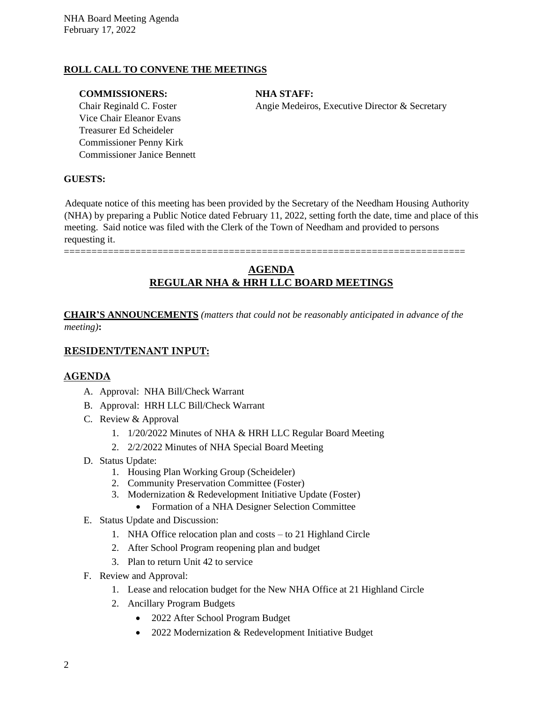#### **ROLL CALL TO CONVENE THE MEETINGS**

#### **COMMISSIONERS: NHA STAFF:**

Vice Chair Eleanor Evans Treasurer Ed Scheideler Commissioner Penny Kirk Commissioner Janice Bennett

Chair Reginald C. Foster Angie Medeiros, Executive Director & Secretary

#### **GUESTS:**

Adequate notice of this meeting has been provided by the Secretary of the Needham Housing Authority (NHA) by preparing a Public Notice dated February 11, 2022, setting forth the date, time and place of this meeting. Said notice was filed with the Clerk of the Town of Needham and provided to persons requesting it.

=========================================================================

### **AGENDA REGULAR NHA & HRH LLC BOARD MEETINGS**

**CHAIR'S ANNOUNCEMENTS** *(matters that could not be reasonably anticipated in advance of the meeting)***:**

#### **RESIDENT/TENANT INPUT:**

#### **AGENDA**

- A. Approval: NHA Bill/Check Warrant
- B. Approval: HRH LLC Bill/Check Warrant
- C. Review & Approval
	- 1. 1/20/2022 Minutes of NHA & HRH LLC Regular Board Meeting
	- 2. 2/2/2022 Minutes of NHA Special Board Meeting
- D. Status Update:
	- 1. Housing Plan Working Group (Scheideler)
	- 2. Community Preservation Committee (Foster)
	- 3. Modernization & Redevelopment Initiative Update (Foster)
		- Formation of a NHA Designer Selection Committee
- E. Status Update and Discussion:
	- 1. NHA Office relocation plan and costs to 21 Highland Circle
	- 2. After School Program reopening plan and budget
	- 3. Plan to return Unit 42 to service
- F. Review and Approval:
	- 1. Lease and relocation budget for the New NHA Office at 21 Highland Circle
	- 2. Ancillary Program Budgets
		- 2022 After School Program Budget
		- 2022 Modernization & Redevelopment Initiative Budget